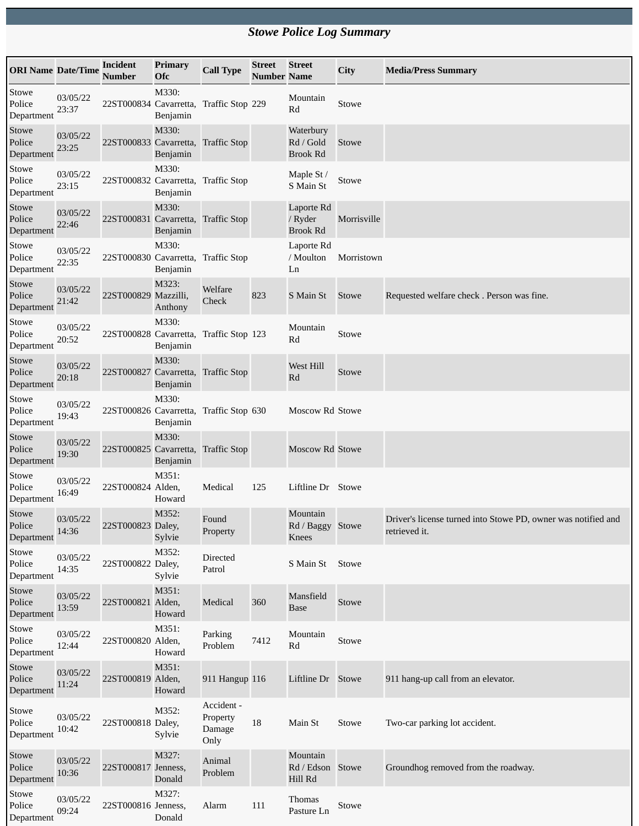## *Stowe Police Log Summary*

| <b>ORI Name Date/Time</b>     |                   | <b>Incident</b><br><b>Number</b>        | Primary<br><b>Ofc</b> | <b>Call Type</b>                         | <b>Street</b><br><b>Number Name</b> | <b>Street</b>                             | City        | <b>Media/Press Summary</b>                                                     |
|-------------------------------|-------------------|-----------------------------------------|-----------------------|------------------------------------------|-------------------------------------|-------------------------------------------|-------------|--------------------------------------------------------------------------------|
| Stowe<br>Police<br>Department | 03/05/22<br>23:37 | 22ST000834 Cavarretta, Traffic Stop 229 | M330:<br>Benjamin     |                                          |                                     | Mountain<br>Rd                            | Stowe       |                                                                                |
| Stowe<br>Police<br>Department | 03/05/22<br>23:25 | 22ST000833 Cavarretta, Traffic Stop     | M330:<br>Benjamin     |                                          |                                     | Waterbury<br>Rd / Gold<br><b>Brook Rd</b> | Stowe       |                                                                                |
| Stowe<br>Police<br>Department | 03/05/22<br>23:15 | 22ST000832 Cavarretta, Traffic Stop     | M330:<br>Benjamin     |                                          |                                     | Maple St /<br>S Main St                   | Stowe       |                                                                                |
| Stowe<br>Police<br>Department | 03/05/22<br>22:46 | 22ST000831 Cavarretta, Traffic Stop     | M330:<br>Benjamin     |                                          |                                     | Laporte Rd<br>/ Ryder<br><b>Brook Rd</b>  | Morrisville |                                                                                |
| Stowe<br>Police<br>Department | 03/05/22<br>22:35 | 22ST000830 Cavarretta, Traffic Stop     | M330:<br>Benjamin     |                                          |                                     | Laporte Rd<br>/ Moulton<br>Ln             | Morristown  |                                                                                |
| Stowe<br>Police<br>Department | 03/05/22<br>21:42 | 22ST000829 Mazzilli,                    | M323:<br>Anthony      | Welfare<br>Check                         | 823                                 | S Main St                                 | Stowe       | Requested welfare check. Person was fine.                                      |
| Stowe<br>Police<br>Department | 03/05/22<br>20:52 | 22ST000828 Cavarretta, Traffic Stop 123 | M330:<br>Benjamin     |                                          |                                     | Mountain<br>Rd                            | Stowe       |                                                                                |
| Stowe<br>Police<br>Department | 03/05/22<br>20:18 | 22ST000827 Cavarretta, Traffic Stop     | M330:<br>Benjamin     |                                          |                                     | West Hill<br>Rd                           | Stowe       |                                                                                |
| Stowe<br>Police<br>Department | 03/05/22<br>19:43 | 22ST000826 Cavarretta, Traffic Stop 630 | M330:<br>Benjamin     |                                          |                                     | Moscow Rd Stowe                           |             |                                                                                |
| Stowe<br>Police<br>Department | 03/05/22<br>19:30 | 22ST000825 Cavarretta, Traffic Stop     | M330:<br>Benjamin     |                                          |                                     | Moscow Rd Stowe                           |             |                                                                                |
| Stowe<br>Police<br>Department | 03/05/22<br>16:49 | 22ST000824 Alden,                       | M351:<br>Howard       | Medical                                  | 125                                 | Liftline Dr Stowe                         |             |                                                                                |
| Stowe<br>Police<br>Department | 03/05/22<br>14:36 | 22ST000823 Daley,                       | M352:<br>Sylvie       | Found<br>Property                        |                                     | Mountain<br>Rd / Baggy Stowe<br>Knees     |             | Driver's license turned into Stowe PD, owner was notified and<br>retrieved it. |
| Stowe<br>Police<br>Department | 03/05/22<br>14:35 | 22ST000822 Daley,                       | M352:<br>Sylvie       | Directed<br>Patrol                       |                                     | S Main St                                 | Stowe       |                                                                                |
| Stowe<br>Police<br>Department | 03/05/22<br>13:59 | 22ST000821 Alden,                       | M351:<br>Howard       | Medical                                  | 360                                 | Mansfield<br><b>Base</b>                  | Stowe       |                                                                                |
| Stowe<br>Police<br>Department | 03/05/22<br>12:44 | 22ST000820 Alden,                       | M351:<br>Howard       | Parking<br>Problem                       | 7412                                | Mountain<br>Rd                            | Stowe       |                                                                                |
| Stowe<br>Police<br>Department | 03/05/22<br>11:24 | 22ST000819 Alden,                       | M351:<br>Howard       | 911 Hangup 116                           |                                     | Liftline Dr Stowe                         |             | 911 hang-up call from an elevator.                                             |
| Stowe<br>Police<br>Department | 03/05/22<br>10:42 | 22ST000818 Daley,                       | M352:<br>Sylvie       | Accident -<br>Property<br>Damage<br>Only | $18\,$                              | Main St                                   | Stowe       | Two-car parking lot accident.                                                  |
| Stowe<br>Police<br>Department | 03/05/22<br>10:36 | 22ST000817 Jenness,                     | M327:<br>Donald       | Animal<br>Problem                        |                                     | Mountain<br>Rd / Edson Stowe<br>Hill Rd   |             | Groundhog removed from the roadway.                                            |
| Stowe<br>Police<br>Department | 03/05/22<br>09:24 | 22ST000816 Jenness,                     | M327:<br>Donald       | Alarm                                    | 111                                 | Thomas<br>Pasture Ln                      | Stowe       |                                                                                |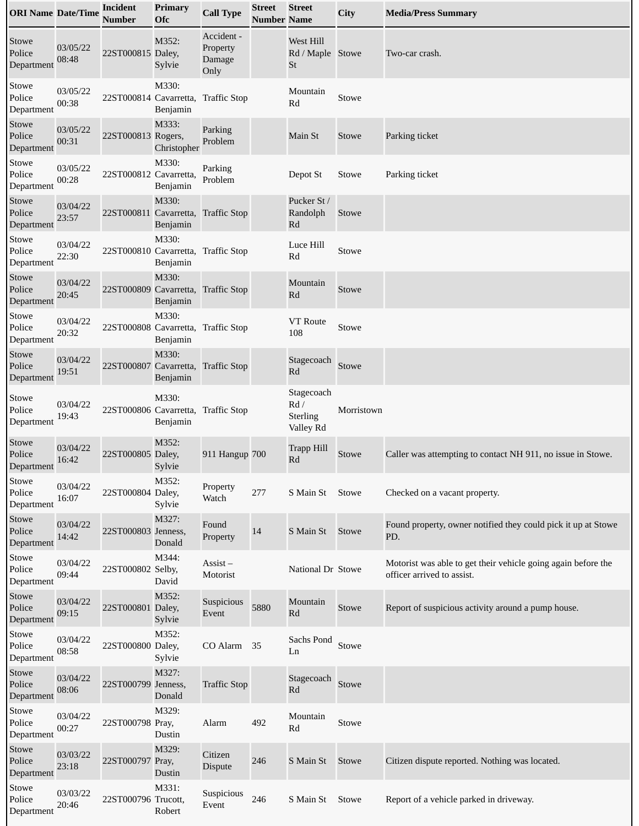| <b>ORI Name Date/Time</b>     |                   | <b>Incident</b><br><b>Number</b>    | Primary<br>Ofc       | <b>Call Type</b>                         | <b>Street</b><br><b>Number Name</b> | <b>Street</b>                                      | City       | <b>Media/Press Summary</b>                                                                  |
|-------------------------------|-------------------|-------------------------------------|----------------------|------------------------------------------|-------------------------------------|----------------------------------------------------|------------|---------------------------------------------------------------------------------------------|
| Stowe<br>Police<br>Department | 03/05/22<br>08:48 | 22ST000815 Daley,                   | M352:<br>Sylvie      | Accident -<br>Property<br>Damage<br>Only |                                     | West Hill<br>Rd / Maple Stowe<br>St                |            | Two-car crash.                                                                              |
| Stowe<br>Police<br>Department | 03/05/22<br>00:38 | 22ST000814 Cavarretta,              | M330:<br>Benjamin    | <b>Traffic Stop</b>                      |                                     | Mountain<br>Rd                                     | Stowe      |                                                                                             |
| Stowe<br>Police<br>Department | 03/05/22<br>00:31 | 22ST000813 Rogers,                  | M333:<br>Christopher | Parking<br>Problem                       |                                     | Main St                                            | Stowe      | Parking ticket                                                                              |
| Stowe<br>Police<br>Department | 03/05/22<br>00:28 | 22ST000812 Cavarretta,              | M330:<br>Benjamin    | Parking<br>Problem                       |                                     | Depot St                                           | Stowe      | Parking ticket                                                                              |
| Stowe<br>Police<br>Department | 03/04/22<br>23:57 | 22ST000811 Cavarretta, Traffic Stop | M330:<br>Benjamin    |                                          |                                     | Pucker St /<br>Randolph<br>Rd                      | Stowe      |                                                                                             |
| Stowe<br>Police<br>Department | 03/04/22<br>22:30 | 22ST000810 Cavarretta, Traffic Stop | M330:<br>Benjamin    |                                          |                                     | Luce Hill<br>$\mathbf{R}\mathbf{d}$                | Stowe      |                                                                                             |
| Stowe<br>Police<br>Department | 03/04/22<br>20:45 | 22ST000809 Cavarretta, Traffic Stop | M330:<br>Benjamin    |                                          |                                     | Mountain<br>Rd                                     | Stowe      |                                                                                             |
| Stowe<br>Police<br>Department | 03/04/22<br>20:32 | 22ST000808 Cavarretta, Traffic Stop | M330:<br>Benjamin    |                                          |                                     | <b>VT</b> Route<br>108                             | Stowe      |                                                                                             |
| Stowe<br>Police<br>Department | 03/04/22<br>19:51 | 22ST000807 Cavarretta, Traffic Stop | M330:<br>Benjamin    |                                          |                                     | Stagecoach<br>Rd                                   | Stowe      |                                                                                             |
| Stowe<br>Police<br>Department | 03/04/22<br>19:43 | 22ST000806 Cavarretta, Traffic Stop | M330:<br>Benjamin    |                                          |                                     | Stagecoach<br>Rd /<br><b>Sterling</b><br>Valley Rd | Morristown |                                                                                             |
| Stowe<br>Police<br>Department | 03/04/22<br>16:42 | 22ST000805 Daley,                   | M352:<br>Sylvie      | 911 Hangup 700                           |                                     | <b>Trapp Hill</b><br>Rd                            | Stowe      | Caller was attempting to contact NH 911, no issue in Stowe.                                 |
| Stowe<br>Police<br>Department | 03/04/22<br>16:07 | 22ST000804 Daley,                   | M352:<br>Sylvie      | Property<br>Watch                        | 277                                 | S Main St                                          | Stowe      | Checked on a vacant property.                                                               |
| Stowe<br>Police<br>Department | 03/04/22<br>14:42 | 22ST000803 Jenness,                 | M327:<br>Donald      | Found<br>Property                        | 14                                  | S Main St                                          | Stowe      | Found property, owner notified they could pick it up at Stowe<br>PD.                        |
| Stowe<br>Police<br>Department | 03/04/22<br>09:44 | 22ST000802 Selby,                   | M344:<br>David       | Assist-<br>Motorist                      |                                     | National Dr Stowe                                  |            | Motorist was able to get their vehicle going again before the<br>officer arrived to assist. |
| Stowe<br>Police<br>Department | 03/04/22<br>09:15 | 22ST000801 Daley,                   | M352:<br>Sylvie      | Suspicious<br>Event                      | 5880                                | Mountain<br>$\mathbf{R}\mathbf{d}$                 | Stowe      | Report of suspicious activity around a pump house.                                          |
| Stowe<br>Police<br>Department | 03/04/22<br>08:58 | 22ST000800 Daley,                   | M352:<br>Sylvie      | CO Alarm                                 | 35                                  | Sachs Pond<br>Ln                                   | Stowe      |                                                                                             |
| Stowe<br>Police<br>Department | 03/04/22<br>08:06 | 22ST000799 Jenness,                 | M327:<br>Donald      | <b>Traffic Stop</b>                      |                                     | Stagecoach<br>Rd                                   | Stowe      |                                                                                             |
| Stowe<br>Police<br>Department | 03/04/22<br>00:27 | 22ST000798 Pray,                    | M329:<br>Dustin      | Alarm                                    | 492                                 | Mountain<br>Rd                                     | Stowe      |                                                                                             |
| Stowe<br>Police<br>Department | 03/03/22<br>23:18 | 22ST000797 Pray,                    | M329:<br>Dustin      | Citizen<br>Dispute                       | 246                                 | S Main St                                          | Stowe      | Citizen dispute reported. Nothing was located.                                              |
| Stowe<br>Police<br>Department | 03/03/22<br>20:46 | 22ST000796 Trucott,                 | M331:<br>Robert      | Suspicious<br>Event                      | 246                                 | S Main St                                          | Stowe      | Report of a vehicle parked in driveway.                                                     |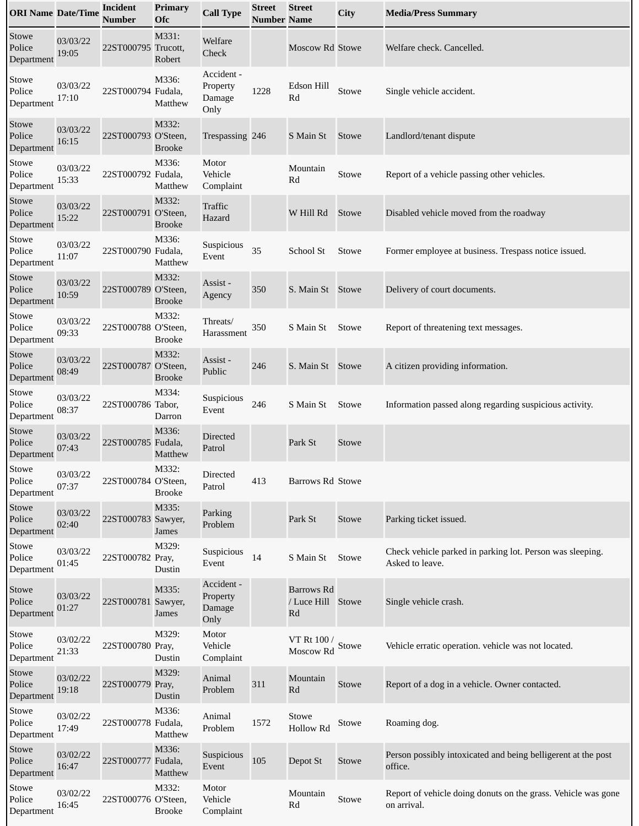| <b>ORI Name Date/Time</b>     |                   | <b>Incident</b><br><b>Number</b> | <b>Primary</b><br><b>Ofc</b> | <b>Call Type</b>                         | <b>Street</b><br><b>Number Name</b> | <b>Street</b>                                | City  | <b>Media/Press Summary</b>                                                   |
|-------------------------------|-------------------|----------------------------------|------------------------------|------------------------------------------|-------------------------------------|----------------------------------------------|-------|------------------------------------------------------------------------------|
| Stowe<br>Police<br>Department | 03/03/22<br>19:05 | 22ST000795 Trucott,              | M331:<br>Robert              | Welfare<br>Check                         |                                     | Moscow Rd Stowe                              |       | Welfare check. Cancelled.                                                    |
| Stowe<br>Police<br>Department | 03/03/22<br>17:10 | 22ST000794 Fudala,               | M336:<br>Matthew             | Accident -<br>Property<br>Damage<br>Only | 1228                                | Edson Hill<br>Rd                             | Stowe | Single vehicle accident.                                                     |
| Stowe<br>Police<br>Department | 03/03/22<br>16:15 | 22ST000793 O'Steen,              | M332:<br><b>Brooke</b>       | Trespassing 246                          |                                     | S Main St                                    | Stowe | Landlord/tenant dispute                                                      |
| Stowe<br>Police<br>Department | 03/03/22<br>15:33 | 22ST000792 Fudala,               | M336:<br>Matthew             | Motor<br>Vehicle<br>Complaint            |                                     | Mountain<br>$\mathop{\rm Rd}\nolimits$       | Stowe | Report of a vehicle passing other vehicles.                                  |
| Stowe<br>Police<br>Department | 03/03/22<br>15:22 | 22ST000791 O'Steen,              | M332:<br><b>Brooke</b>       | Traffic<br>Hazard                        |                                     | W Hill Rd                                    | Stowe | Disabled vehicle moved from the roadway                                      |
| Stowe<br>Police<br>Department | 03/03/22<br>11:07 | 22ST000790 Fudala,               | M336:<br>Matthew             | Suspicious<br>Event                      | 35                                  | School St                                    | Stowe | Former employee at business. Trespass notice issued.                         |
| Stowe<br>Police<br>Department | 03/03/22<br>10:59 | 22ST000789 O'Steen,              | M332:<br><b>Brooke</b>       | Assist-<br>Agency                        | 350                                 | S. Main St Stowe                             |       | Delivery of court documents.                                                 |
| Stowe<br>Police<br>Department | 03/03/22<br>09:33 | 22ST000788 O'Steen,              | M332:<br><b>Brooke</b>       | Threats/<br>Harassment                   | 350                                 | S Main St                                    | Stowe | Report of threatening text messages.                                         |
| Stowe<br>Police<br>Department | 03/03/22<br>08:49 | 22ST000787 O'Steen,              | M332:<br><b>Brooke</b>       | Assist-<br>Public                        | 246                                 | S. Main St Stowe                             |       | A citizen providing information.                                             |
| Stowe<br>Police<br>Department | 03/03/22<br>08:37 | 22ST000786 Tabor,                | M334:<br>Darron              | Suspicious<br>Event                      | 246                                 | S Main St                                    | Stowe | Information passed along regarding suspicious activity.                      |
| Stowe<br>Police<br>Department | 03/03/22<br>07:43 | 22ST000785 Fudala,               | M336:<br>Matthew             | Directed<br>Patrol                       |                                     | Park St                                      | Stowe |                                                                              |
| Stowe<br>Police<br>Department | 03/03/22<br>07:37 | 22ST000784 O'Steen,              | M332:<br><b>Brooke</b>       | Directed<br>Patrol                       | 413                                 | Barrows Rd Stowe                             |       |                                                                              |
| Stowe<br>Police<br>Department | 03/03/22<br>02:40 | 22ST000783 Sawyer,               | M335:<br>James               | Parking<br>Problem                       |                                     | Park St                                      | Stowe | Parking ticket issued.                                                       |
| Stowe<br>Police<br>Department | 03/03/22<br>01:45 | 22ST000782 Pray,                 | M329:<br>Dustin              | Suspicious<br>Event                      | 14                                  | S Main St                                    | Stowe | Check vehicle parked in parking lot. Person was sleeping.<br>Asked to leave. |
| Stowe<br>Police<br>Department | 03/03/22<br>01:27 | 22ST000781 Sawyer,               | M335:<br>James               | Accident -<br>Property<br>Damage<br>Only |                                     | <b>Barrows Rd</b><br>/ Luce Hill Stowe<br>Rd |       | Single vehicle crash.                                                        |
| Stowe<br>Police<br>Department | 03/02/22<br>21:33 | 22ST000780 Pray,                 | M329:<br>Dustin              | Motor<br>Vehicle<br>Complaint            |                                     | VT Rt 100 /<br>Moscow Rd                     | Stowe | Vehicle erratic operation. vehicle was not located.                          |
| Stowe<br>Police<br>Department | 03/02/22<br>19:18 | 22ST000779 Pray,                 | M329:<br>Dustin              | Animal<br>Problem                        | 311                                 | Mountain<br>Rd                               | Stowe | Report of a dog in a vehicle. Owner contacted.                               |
| Stowe<br>Police<br>Department | 03/02/22<br>17:49 | 22ST000778 Fudala,               | M336:<br>Matthew             | Animal<br>Problem                        | 1572                                | Stowe<br>Hollow Rd                           | Stowe | Roaming dog.                                                                 |
| Stowe<br>Police<br>Department | 03/02/22<br>16:47 | 22ST000777 Fudala,               | M336:<br>Matthew             | Suspicious<br>Event                      | 105                                 | Depot St                                     | Stowe | Person possibly intoxicated and being belligerent at the post<br>office.     |
| Stowe<br>Police<br>Department | 03/02/22<br>16:45 | 22ST000776 O'Steen,              | M332:<br><b>Brooke</b>       | Motor<br>Vehicle<br>Complaint            |                                     | Mountain<br>Rd                               | Stowe | Report of vehicle doing donuts on the grass. Vehicle was gone<br>on arrival. |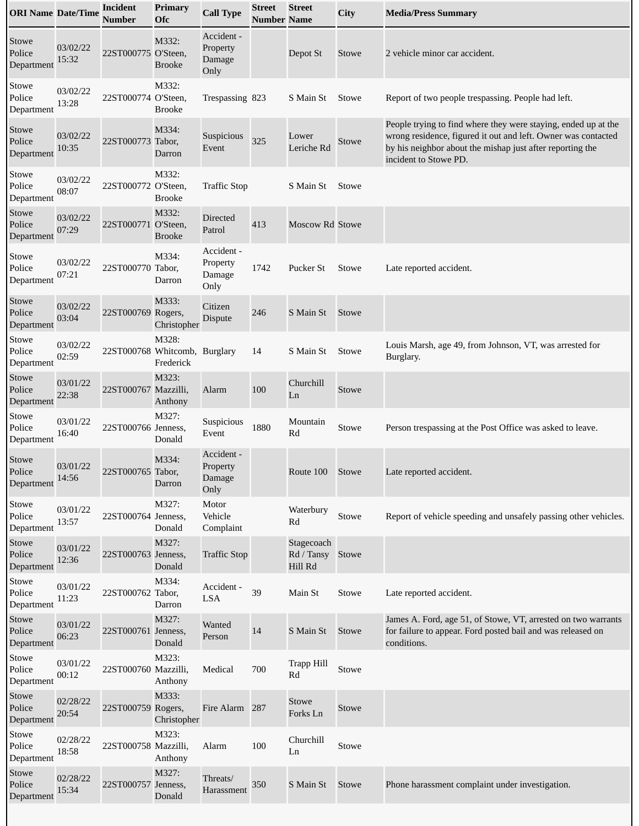| <b>ORI Name Date/Time</b>     |                   | <b>Incident</b><br><b>Number</b> | Primary<br><b>Ofc</b>     | <b>Call Type</b>                         | <b>Street</b><br><b>Number Name</b> | <b>Street</b>                             | <b>City</b> | <b>Media/Press Summary</b>                                                                                                                                                                                            |
|-------------------------------|-------------------|----------------------------------|---------------------------|------------------------------------------|-------------------------------------|-------------------------------------------|-------------|-----------------------------------------------------------------------------------------------------------------------------------------------------------------------------------------------------------------------|
| Stowe<br>Police<br>Department | 03/02/22<br>15:32 | 22ST000775 O'Steen,              | M332:<br><b>Brooke</b>    | Accident -<br>Property<br>Damage<br>Only |                                     | Depot St                                  | Stowe       | 2 vehicle minor car accident.                                                                                                                                                                                         |
| Stowe<br>Police<br>Department | 03/02/22<br>13:28 | 22ST000774 O'Steen,              | M332:<br><b>Brooke</b>    | Trespassing 823                          |                                     | S Main St                                 | Stowe       | Report of two people trespassing. People had left.                                                                                                                                                                    |
| Stowe<br>Police<br>Department | 03/02/22<br>10:35 | 22ST000773                       | M334:<br>Tabor,<br>Darron | Suspicious<br>Event                      | 325                                 | Lower<br>Leriche Rd                       | Stowe       | People trying to find where they were staying, ended up at the<br>wrong residence, figured it out and left. Owner was contacted<br>by his neighbor about the mishap just after reporting the<br>incident to Stowe PD. |
| Stowe<br>Police<br>Department | 03/02/22<br>08:07 | 22ST000772 O'Steen,              | M332:<br><b>Brooke</b>    | <b>Traffic Stop</b>                      |                                     | S Main St                                 | Stowe       |                                                                                                                                                                                                                       |
| Stowe<br>Police<br>Department | 03/02/22<br>07:29 | 22ST000771 O'Steen,              | M332:<br><b>Brooke</b>    | Directed<br>Patrol                       | 413                                 | <b>Moscow Rd Stowe</b>                    |             |                                                                                                                                                                                                                       |
| Stowe<br>Police<br>Department | 03/02/22<br>07:21 | 22ST000770                       | M334:<br>Tabor,<br>Darron | Accident -<br>Property<br>Damage<br>Only | 1742                                | Pucker St                                 | Stowe       | Late reported accident.                                                                                                                                                                                               |
| Stowe<br>Police<br>Department | 03/02/22<br>03:04 | 22ST000769 Rogers,               | M333:<br>Christopher      | Citizen<br>Dispute                       | 246                                 | S Main St                                 | Stowe       |                                                                                                                                                                                                                       |
| Stowe<br>Police<br>Department | 03/02/22<br>02:59 | 22ST000768 Whitcomb, Burglary    | M328:<br>Frederick        |                                          | 14                                  | S Main St                                 | Stowe       | Louis Marsh, age 49, from Johnson, VT, was arrested for<br>Burglary.                                                                                                                                                  |
| Stowe<br>Police<br>Department | 03/01/22<br>22:38 | 22ST000767 Mazzilli,             | M323:<br>Anthony          | Alarm                                    | 100                                 | Churchill<br>Ln                           | Stowe       |                                                                                                                                                                                                                       |
| Stowe<br>Police<br>Department | 03/01/22<br>16:40 | 22ST000766 Jenness,              | M327:<br>Donald           | Suspicious<br>Event                      | 1880                                | Mountain<br>Rd                            | Stowe       | Person trespassing at the Post Office was asked to leave.                                                                                                                                                             |
| Stowe<br>Police<br>Department | 03/01/22<br>14:56 | 22ST000765 Tabor,                | M334:<br>Darron           | Accident -<br>Property<br>Damage<br>Only |                                     | Route 100                                 | Stowe       | Late reported accident.                                                                                                                                                                                               |
| Stowe<br>Police<br>Department | 03/01/22<br>13:57 | 22ST000764 Jenness,              | M327:<br>Donald           | Motor<br>Vehicle<br>Complaint            |                                     | Waterbury<br>Rd                           | Stowe       | Report of vehicle speeding and unsafely passing other vehicles.                                                                                                                                                       |
| Stowe<br>Police<br>Department | 03/01/22<br>12:36 | 22ST000763 Jenness,              | M327:<br>Donald           | <b>Traffic Stop</b>                      |                                     | Stagecoach<br>Rd / Tansy Stowe<br>Hill Rd |             |                                                                                                                                                                                                                       |
| Stowe<br>Police<br>Department | 03/01/22<br>11:23 | 22ST000762 Tabor,                | M334:<br>Darron           | Accident -<br>LSA                        | 39                                  | Main St                                   | Stowe       | Late reported accident.                                                                                                                                                                                               |
| Stowe<br>Police<br>Department | 03/01/22<br>06:23 | 22ST000761 Jenness,              | M327:<br>Donald           | Wanted<br>Person                         | 14                                  | S Main St                                 | Stowe       | James A. Ford, age 51, of Stowe, VT, arrested on two warrants<br>for failure to appear. Ford posted bail and was released on<br>conditions.                                                                           |
| Stowe<br>Police<br>Department | 03/01/22<br>00:12 | 22ST000760 Mazzilli,             | M323:<br>Anthony          | Medical                                  | 700                                 | Trapp Hill<br>Rd                          | Stowe       |                                                                                                                                                                                                                       |
| Stowe<br>Police<br>Department | 02/28/22<br>20:54 | 22ST000759 Rogers,               | M333:<br>Christopher      | Fire Alarm 287                           |                                     | Stowe<br>Forks Ln                         | Stowe       |                                                                                                                                                                                                                       |
| Stowe<br>Police<br>Department | 02/28/22<br>18:58 | 22ST000758 Mazzilli,             | M323:<br>Anthony          | Alarm                                    | 100                                 | Churchill<br>Ln                           | Stowe       |                                                                                                                                                                                                                       |
| Stowe<br>Police<br>Department | 02/28/22<br>15:34 | 22ST000757 Jenness,              | M327:<br>Donald           | Threats/<br>Harassment                   | 350                                 | S Main St                                 | Stowe       | Phone harassment complaint under investigation.                                                                                                                                                                       |